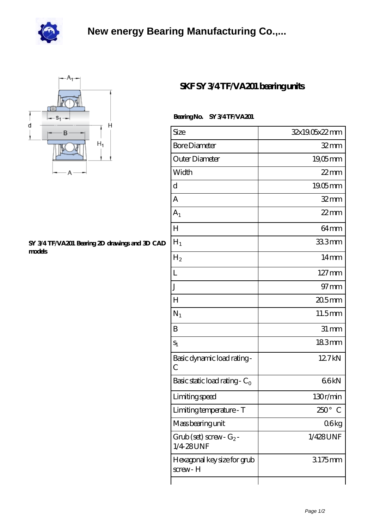



## **[SY 3/4 TF/VA201 Bearing 2D drawings and 3D CAD](https://scottjamesonline.com/pic-28599.html) [models](https://scottjamesonline.com/pic-28599.html)**

## **[SKF SY 3/4 TF/VA201 bearing units](https://scottjamesonline.com/ar-28599-skf-sy-3-4-tf-va201-bearing-units.html)**

## **Bearing No. SY 3/4 TF/VA201**

| Size                                      | 32x19.05x22mm       |
|-------------------------------------------|---------------------|
| <b>Bore Diameter</b>                      | $32 \text{mm}$      |
| Outer Diameter                            | $19,05$ mm          |
| Width                                     | $22$ mm             |
| d                                         | 19.05mm             |
| А                                         | $32 \text{mm}$      |
| A <sub>1</sub>                            | $22$ mm             |
| $H_{\rm 2}$                               | 64 <sub>mm</sub>    |
| $H_1$                                     | 333mm               |
| H <sub>2</sub>                            | 14mm                |
| L                                         | $127 \,\mathrm{mm}$ |
| J                                         | $97 \text{mm}$      |
| H                                         | 20.5mm              |
| $N_1$                                     | 11.5mm              |
| B                                         | $31 \, \text{mm}$   |
| $S_1$                                     | 183mm               |
| Basic dynamic load rating-<br>C           | 127kN               |
| Basic static load rating - $C_0$          | 66kN                |
| Limiting speed                            | 130r/min            |
| Limiting temperature - T                  | $250^\circ$<br>C    |
| Mass bearing unit                         | 06kg                |
| $Grob$ (set) screw- $G_2$ -<br>1/4 28 UNF | 1/428UNF            |
| Hexagonal key size for grub<br>screw-H    | 3175mm              |
|                                           |                     |